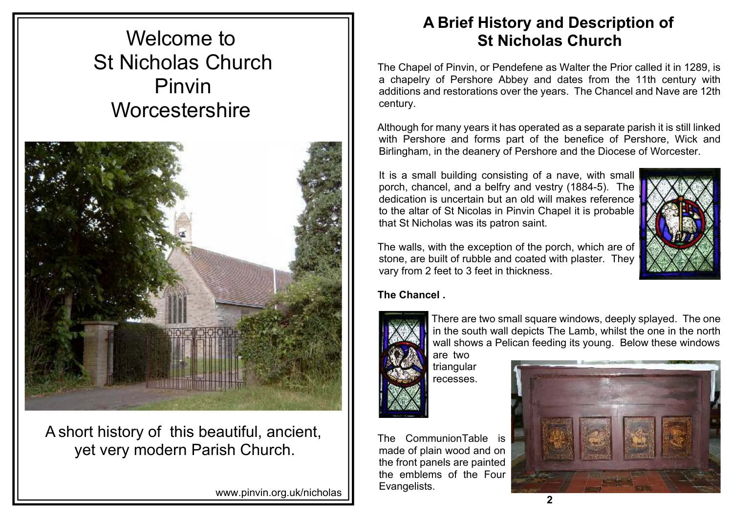# Welcome to St Nicholas Church Pinvin **Worcestershire**



A short history of this beautiful, ancient, yet very modern Parish Church.

www.pinvin.org.uk/nicholas

# **A Brief History and Description of St Nicholas Church**

The Chapel of Pinvin, or Pendefene as Walter the Prior called it in 1289, is a chapelry of Pershore Abbey and dates from the 11th century with additions and restorations over the years. The Chancel and Nave are 12th century.

Although for many years it has operated as a separate parish it is still linked with Pershore and forms part of the benefice of Pershore, Wick and Birlingham, in the deanery of Pershore and the Diocese of Worcester.

It is a small building consisting of a nave, with small porch, chancel, and a belfry and vestry (1884-5). The dedication is uncertain but an old will makes reference to the altar of St Nicolas in Pinvin Chapel it is probable that St Nicholas was its patron saint.



The walls, with the exception of the porch, which are of stone, are built of rubble and coated with plaster. They vary from 2 feet to 3 feet in thickness.

#### **The Chancel .**



The CommunionTable is made of plain wood and on the front panels are painted the emblems of the Four Evangelists.

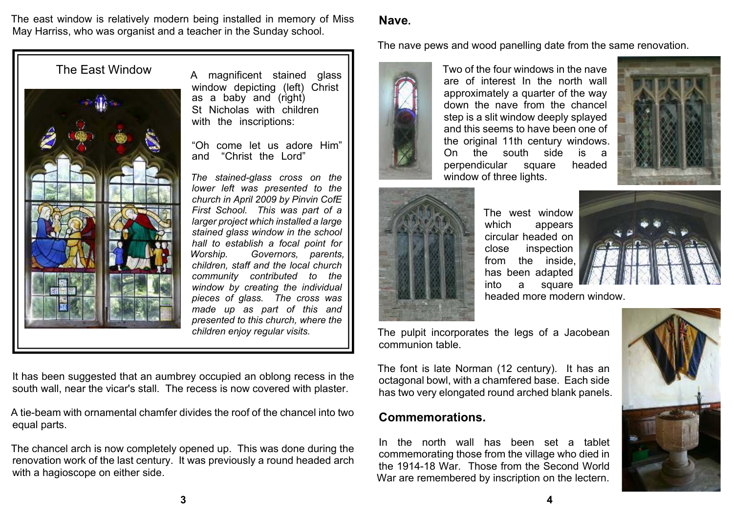The east window is relatively modern being installed in memory of Miss May Harriss, who was organist and a teacher in the Sunday school.

#### **Nave.**

The nave pews and wood panelling date from the same renovation.



Two of the four windows in the nave are of interest In the north wall approximately a quarter of the way down the nave from the chancel step is a slit window deeply splayed and this seems to have been one of the original 11th century windows. On the south side is a perpendicular square headed window of three lights.





The west window which appears circular headed on close inspection from the inside, has been adapted into a square headed more modern window.



The pulpit incorporates the legs of a Jacobean communion table.

The font is late Norman (12 century). It has an octagonal bowl, with a chamfered base. Each side has two very elongated round arched blank panels.

#### **Commemorations.**

In the north wall has been set a tablet commemorating those from the village who died in the 1914-18 War. Those from the Second World War are remembered by inscription on the lectern.





window depicting (left) Christ as a baby and (right) St Nicholas with children with the inscriptions:

"Oh come let us adore Him"<br>and "Christ the Lord" and "Christ the Lord"

*The stained-glass cross on the lower left was presented to the church in April 2009 by Pinvin CofE First School. This was part of a larger project which installed a large stained glass window in the school hall to establish a focal point for Worship. Governors, parents, children, staff and the local church community contributed to the window by creating the individual pieces of glass. The cross was made up as part of this and presented to this church, where the children enjoy regular visits.*

It has been suggested that an aumbrey occupied an oblong recess in the south wall, near the vicar's stall. The recess is now covered with plaster.

A tie-beam with ornamental chamfer divides the roof of the chancel into two equal parts.

The chancel arch is now completely opened up. This was done during the renovation work of the last century. It was previously a round headed arch with a hagioscope on either side.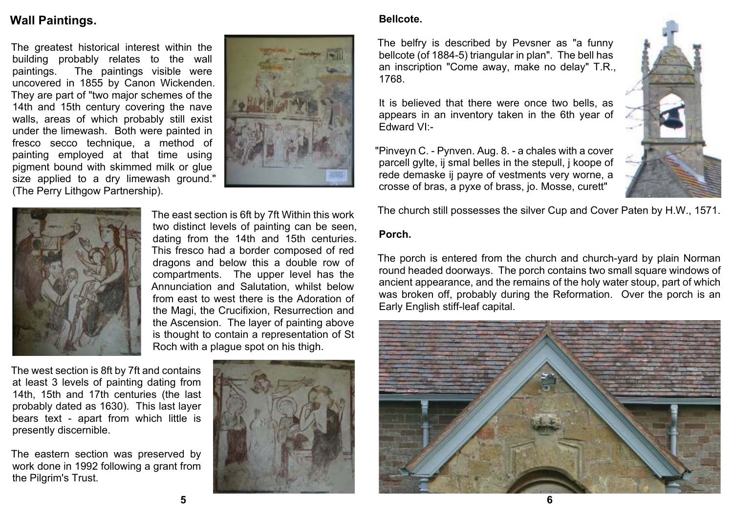### **Wall Paintings.**

The greatest historical interest within the building probably relates to the wall paintings. The paintings visible were uncovered in 1855 by Canon Wickenden. They are part of "two major schemes of the 14th and 15th century covering the nave walls, areas of which probably still exist under the limewash. Both were painted in fresco secco technique, a method of painting employed at that time using pigment bound with skimmed milk or glue size applied to a dry limewash ground." (The Perry Lithgow Partnership).





The east section is 6ft by 7ft Within this work two distinct levels of painting can be seen, dating from the 14th and 15th centuries. This fresco had a border composed of red dragons and below this a double row of compartments. The upper level has the Annunciation and Salutation, whilst below from east to west there is the Adoration of the Magi, the Crucifixion, Resurrection and the Ascension. The layer of painting above is thought to contain a representation of St Roch with a plague spot on his thigh.

The west section is 8ft by 7ft and contains at least 3 levels of painting dating from 14th, 15th and 17th centuries (the last probably dated as 1630). This last layer bears text - apart from which little is presently discernible.

The eastern section was preserved by work done in 1992 following a grant from the Pilgrim's Trust.



#### **Bellcote.**

The belfry is described by Pevsner as "a funny bellcote (of 1884-5) triangular in plan". The bell has an inscription "Come away, make no delay" T.R., 1768.

It is believed that there were once two bells, as appears in an inventory taken in the 6th year of Edward VI:-

"Pinveyn C. - Pynven. Aug. 8. - a chales with a cover parcell gylte, ij smal belles in the stepull, j koope of rede demaske ij payre of vestments very worne, a crosse of bras, a pyxe of brass, jo. Mosse, curett"



The church still possesses the silver Cup and Cover Paten by H.W., 1571.

#### **Porch.**

The porch is entered from the church and church-yard by plain Norman round headed doorways. The porch contains two small square windows of ancient appearance, and the remains of the holy water stoup, part of which was broken off, probably during the Reformation. Over the porch is an Early English stiff-leaf capital.